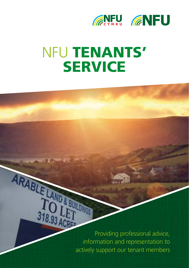

# NFU TENANTS' **SERVICE**

Providing professional advice, **EXABLE INFORMATION CONTRACTS**<br> **INC.03 ACRE**<br>
Providing professional advice,<br>
information and representation to actively support our tenant members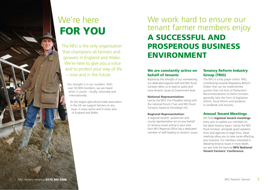

# We're here FOR YOU

The NFU is the only organisation that champions all farmers and growers in England and Wales. We're here to give you a voice and to protect your way of life – now and in the future.

Our strength is in our numbers. With over 50,000 members, we are heard when it counts – locally, nationally and internationally.

As the largest agricultural trade association in the UK we support farmers on any issue, in every sector and in every area of England and Wales.

# We work hard to ensure our tenant farmer members enjoy

# A SUCCESSFUL AND PROSPEROUS BUSINESS ENVIRONMENT

## We are constantly active on behalf of tenants

Backed by the strength of our membership, our dedicated regional staff and NFU Rural Surveyor allow us to lead on policy and voice tenants' issues at Government level.

#### National Representation:

Led by the NFU Vice President along with the national Forum Chair and NFU Rural Surveyor, based at Stoneleigh HQ.

#### Regional Representation:

A regional tenants' spokesman and county representative act on your behalf on tenancy issues arising in your area. Each NFU Regional Office has a dedicated member of staff leading on tenants' issues.

### Tenancy Reform Industry Group (TRIG)

The NFU is a key player within TRIG, contributing towards Regulatory Reform Orders that can be implemented quicker than full Acts of Parliament. Recommendations to Defra ministers generally take the form of legislative reform, fiscal reform and guidance to landlords and tenants.

## Annual Tenant Meetings

We hold regional tenant meetings every year to update our members on the latest tenancy topics. Led by the NFU Rural Surveyor, alongside guest speakers from land agencies or legal firms, these meetings allow you to raise issues affecting your business. For members interested in debating tenancy issues in more depth, we also hold the biennial **NFU National** Tenant Farmers' Conference.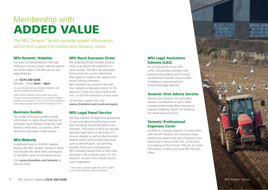# Membership with ADDED VALUE

The NFU Tenants' Service provides expert information, advice and support to resolve your tenancy issues.

#### NFU Tenants' Helpline

Our team of trained advisers will help clarify your tenancy issues, identify options for further advice, and alert you to any legal obstacles.

#### Call: 0370 300 0288 Monday – Friday **8am – 6pm**

*For security and training purposes telephone calls may be recorded and monitored.*

*Calls to 0370 numbers will be taken out of any inclusive minutes available on your mobile or landline national minutes plan. If not it's still no more expensive than calling national rate numbers starting 01 or 02.*

#### Business Guides

Our range of business guides provide information on Agricultural Holdings Act Tenancies, Farm Business Tenancies, Rent Reviews, Arbitration, Succession, AHA time limits and repair model clauses.

#### NFU Website

A dedicated area on the NFU website explains the NFU Tenants' Service in detail and includes the latest news and reports on the NFU's work for the tenant sector.

Visit **www.nfuonline.com/tenants** to find out more.

### NFU Rural Surveyor Firms

We understand that complex tenancy issues may require the expertise of a local surveyor. The NFU has appointed firms across the country selected for their ability to support the needs of our tenant farming members. NFU members can receive a free half hour telephone discussion and a 12.5% discount, if they are a new client to the

firm, on the first instruction of new work. To find your nearest firm, visit

**www.nfuonline.com/rural-surveyors**

### NFU Legal Panel Service

We have selected 16 legal firms specialising in rural and agricultural business issues, each providing discounted rates to our members. This panel of firms can provide specialist legal advice in the event of a tenancy dispute, as well as other business related matters and non-farming issues such as diversification, tax planning, probate, family and conveyancing. NFU members benefit from a free initial discussion with a solicitor and a 12.5% discount \* on each firm's hourly rate for work undertaken.

*\* Terms and Conditions apply. Ring NFU CallFirst on 0370 845 8458 for more information.*

### NFU Legal Assistance Scheme (LAS)

For an annual fee of just £35 +VAT, LAS provides members with professional guidance and financial contributions towards costs incurred in relation to agricultural and horticultural legal disputes.

#### Tenants' First Advice Service

Facing a rent review? LAS subscribers receive a contribution of up to £600 towards professional advice required to prepare budgetary reports for assessing the rental value of a farm.

#### Tenants' Professional Expenses Cover

Involved in a tenancy dispute? In conjunction with the NFU Mutual, this insurance policy protects you against the cost of going to rent arbitration to secure a fair rent, or the costs of a hearing at the First-tier Tribunal. For more information, contact your local NFU Mutual office.

5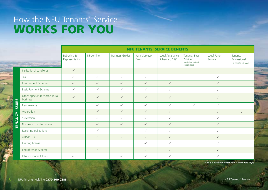# How the NFU Tenants' Service WORKS FOR YOU

|                          |                                              | <b>NFU TENANTS' SERVICE BENEFITS</b> |              |                        |                         |                                   |                                                               |                        |                                                   |
|--------------------------|----------------------------------------------|--------------------------------------|--------------|------------------------|-------------------------|-----------------------------------|---------------------------------------------------------------|------------------------|---------------------------------------------------|
|                          | <b>The American</b>                          | Lobbying &<br>Representation         | NFUonline    | <b>Business Guides</b> | Rural Surveyor<br>Firms | Legal Assistance<br>Scheme (LAS)* | Tenants' First<br>Advice<br>(available to LAS<br>subscribers) | Legal Panel<br>Service | Tenants'<br>Professional<br><b>Expenses Cover</b> |
| <b>ISSUES</b><br>TENANCY | Institutional Landlords                      | $\checkmark$                         |              |                        |                         |                                   |                                                               |                        |                                                   |
|                          | Tax                                          | $\checkmark$                         | $\checkmark$ | $\checkmark$           | $\checkmark$            |                                   |                                                               | $\checkmark$           |                                                   |
|                          | <b>Environment Schemes</b>                   | $\checkmark$                         | $\checkmark$ | $\checkmark$           | $\checkmark$            | $\checkmark$                      |                                                               | $\checkmark$           |                                                   |
|                          | <b>Basic Payment Scheme</b>                  | ✓                                    | ✓            | $\checkmark$           | $\checkmark$            | $\checkmark$                      |                                                               | $\checkmark$           |                                                   |
|                          | Other agricultural/horticultural<br>business | $\checkmark$                         | $\checkmark$ | $\checkmark$           | $\checkmark$            | $\checkmark$                      |                                                               | $\checkmark$           |                                                   |
|                          | Rent reviews                                 |                                      | ✓            | ✓                      | ✓                       | $\checkmark$                      | $\checkmark$                                                  | $\checkmark$           |                                                   |
|                          | Arbitration                                  |                                      | $\checkmark$ | $\checkmark$           | $\checkmark$            | $\checkmark$                      |                                                               | $\checkmark$           | $\checkmark$                                      |
|                          | Succession                                   |                                      | $\checkmark$ | $\checkmark$           | ✓                       | $\checkmark$                      |                                                               | $\checkmark$           |                                                   |
|                          | Notices to quit/terminate                    |                                      | $\checkmark$ | $\checkmark$           | $\checkmark$            | $\checkmark$                      |                                                               | $\checkmark$           |                                                   |
|                          | Repairing obligations                        |                                      | $\checkmark$ |                        | $\checkmark$            | $\checkmark$                      |                                                               | $\checkmark$           |                                                   |
|                          | AHAs/FBTs                                    |                                      | $\checkmark$ | $\checkmark$           | $\checkmark$            | $\checkmark$                      |                                                               | $\checkmark$           |                                                   |
|                          | Grazing license                              |                                      |              |                        | $\checkmark$            | $\checkmark$                      |                                                               | $\checkmark$           |                                                   |
|                          | End of tenancy comp                          |                                      | $\checkmark$ |                        | $\checkmark$            | $\checkmark$                      |                                                               | $\checkmark$           |                                                   |
|                          | Infrastructure/Utilities                     | ✓                                    |              | ✓                      | ✓                       | ✓                                 |                                                               | $\checkmark$           |                                                   |

*\* LAS is a discretionary scheme. Annual fees apply*